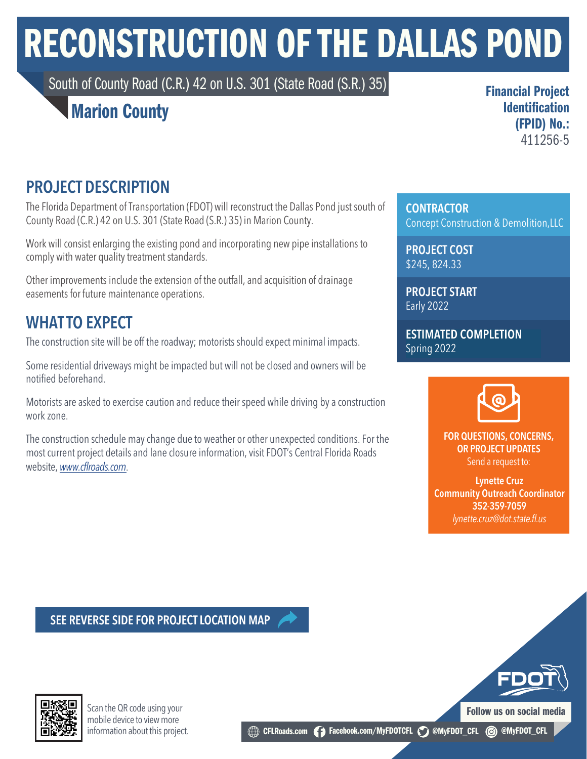# RECONSTRUCTION OF THE DALLAS POND

South of County Road (C.R.) 42 on U.S. 301 (State Road (S.R.) 35)

### Marion County

Financial Project Identification (FPID) No.: 411256-5

#### PROJECT DESCRIPTION

The Florida Department of Transportation (FDOT) will reconstruct the Dallas Pond just south of County Road (C.R.) 42 on U.S. 301 (State Road (S.R.) 35) in Marion County.

Work will consist enlarging the existing pond and incorporating new pipe installations to comply with water quality treatment standards.

Other improvements include the extension of the outfall, and acquisition of drainage easements for future maintenance operations.

### WHAT TO EXPECT

The construction site will be off the roadway; motorists should expect minimal impacts.

Some residential driveways might be impacted but will not be closed and owners will be notified beforehand.

Motorists are asked to exercise caution and reduce their speed while driving by a construction work zone.

The construction schedule may change due to weather or other unexpected conditions. For the most current project details and lane closure information, visit FDOT's Central Florida Roads website, *www.c*f*[lroads.com](https://www.cflroads.com/project/411256-5)*.

**CONTRACTOR** Concept Construction & Demolition,LLC

PROJECT COST \$245, 824.33

PROJECT START Early 2022

ESTIMATED COMPLETION Spring 2022



FOR QUESTIONS, CONCERNS, OR PROJECT UPDATES Send a request to:

Lynette Cruz Community Outreach Coordinator 352-359-7059 *lynette.cruz@dot.state.fl.us*

Follow us on social media

SEE REVERSE SIDE FOR PROJECT LOCATION MAP



Scan the QR code using your mobile device to view more information about this project.